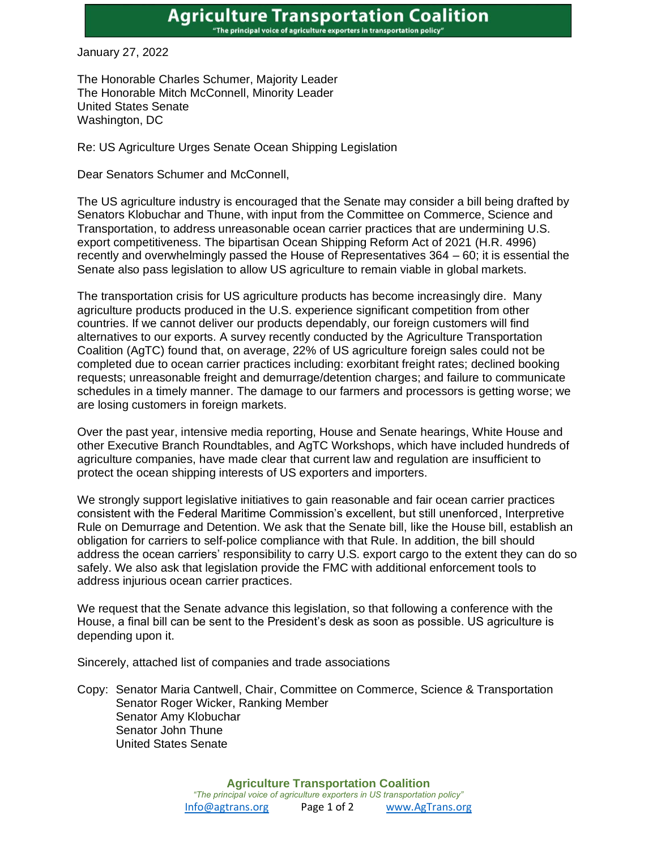## **Agriculture Transportation Coalition** "The principal voice of agriculture exporters in transportation policy"

January 27, 2022

The Honorable Charles Schumer, Majority Leader The Honorable Mitch McConnell, Minority Leader United States Senate Washington, DC

Re: US Agriculture Urges Senate Ocean Shipping Legislation

Dear Senators Schumer and McConnell,

The US agriculture industry is encouraged that the Senate may consider a bill being drafted by Senators Klobuchar and Thune, with input from the Committee on Commerce, Science and Transportation, to address unreasonable ocean carrier practices that are undermining U.S. export competitiveness. The bipartisan Ocean Shipping Reform Act of 2021 (H.R. 4996) recently and overwhelmingly passed the House of Representatives 364 – 60; it is essential the Senate also pass legislation to allow US agriculture to remain viable in global markets.

The transportation crisis for US agriculture products has become increasingly dire. Many agriculture products produced in the U.S. experience significant competition from other countries. If we cannot deliver our products dependably, our foreign customers will find alternatives to our exports. A survey recently conducted by the Agriculture Transportation Coalition (AgTC) found that, on average, 22% of US agriculture foreign sales could not be completed due to ocean carrier practices including: exorbitant freight rates; declined booking requests; unreasonable freight and demurrage/detention charges; and failure to communicate schedules in a timely manner. The damage to our farmers and processors is getting worse; we are losing customers in foreign markets.

Over the past year, intensive media reporting, House and Senate hearings, White House and other Executive Branch Roundtables, and AgTC Workshops, which have included hundreds of agriculture companies, have made clear that current law and regulation are insufficient to protect the ocean shipping interests of US exporters and importers.

We strongly support legislative initiatives to gain reasonable and fair ocean carrier practices consistent with the Federal Maritime Commission's excellent, but still unenforced, Interpretive Rule on Demurrage and Detention. We ask that the Senate bill, like the House bill, establish an obligation for carriers to self-police compliance with that Rule. In addition, the bill should address the ocean carriers' responsibility to carry U.S. export cargo to the extent they can do so safely. We also ask that legislation provide the FMC with additional enforcement tools to address injurious ocean carrier practices.

We request that the Senate advance this legislation, so that following a conference with the House, a final bill can be sent to the President's desk as soon as possible. US agriculture is depending upon it.

Sincerely, attached list of companies and trade associations

Copy: Senator Maria Cantwell, Chair, Committee on Commerce, Science & Transportation Senator Roger Wicker, Ranking Member Senator Amy Klobuchar Senator John Thune United States Senate